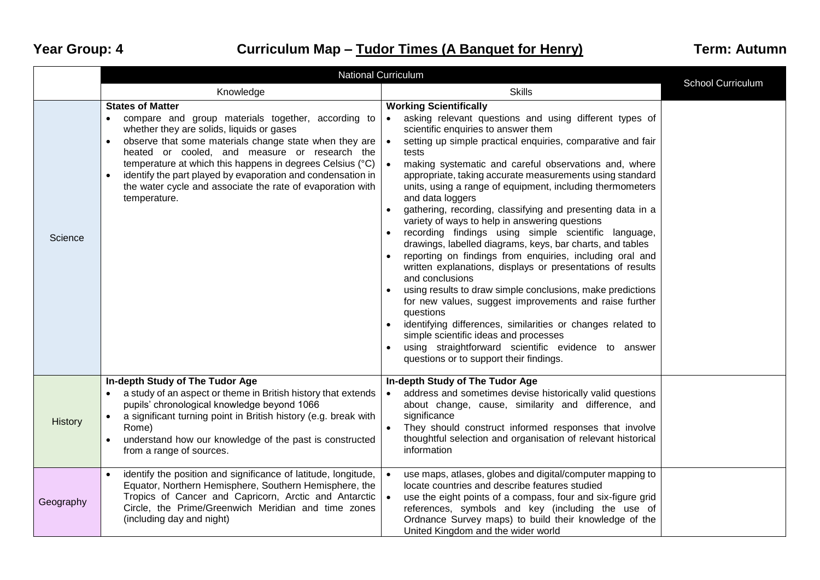## Year Group: 4 **Curriculum Map – Tudor Times (A Banquet for Henry)** Term: Autumn

|                | <b>National Curriculum</b>                                                                                                                                                                                                                                                                                                                                                                                                                                                | <b>School Curriculum</b>                                                                                                                                                                                                                                                                                                                                                                                                                                                                                                                                                                                                                                                                                                                                                                                                                                                                                                                                                                                                                                                                                                                                                |  |
|----------------|---------------------------------------------------------------------------------------------------------------------------------------------------------------------------------------------------------------------------------------------------------------------------------------------------------------------------------------------------------------------------------------------------------------------------------------------------------------------------|-------------------------------------------------------------------------------------------------------------------------------------------------------------------------------------------------------------------------------------------------------------------------------------------------------------------------------------------------------------------------------------------------------------------------------------------------------------------------------------------------------------------------------------------------------------------------------------------------------------------------------------------------------------------------------------------------------------------------------------------------------------------------------------------------------------------------------------------------------------------------------------------------------------------------------------------------------------------------------------------------------------------------------------------------------------------------------------------------------------------------------------------------------------------------|--|
|                | Knowledge                                                                                                                                                                                                                                                                                                                                                                                                                                                                 | <b>Skills</b>                                                                                                                                                                                                                                                                                                                                                                                                                                                                                                                                                                                                                                                                                                                                                                                                                                                                                                                                                                                                                                                                                                                                                           |  |
| Science        | <b>States of Matter</b><br>compare and group materials together, according to<br>$\bullet$<br>whether they are solids, liquids or gases<br>observe that some materials change state when they are<br>$\bullet$<br>heated or cooled, and measure or research the<br>temperature at which this happens in degrees Celsius (°C)<br>identify the part played by evaporation and condensation in<br>the water cycle and associate the rate of evaporation with<br>temperature. | <b>Working Scientifically</b><br>asking relevant questions and using different types of<br>$\bullet$<br>scientific enquiries to answer them<br>setting up simple practical enquiries, comparative and fair<br>tests<br>$\bullet$<br>making systematic and careful observations and, where<br>appropriate, taking accurate measurements using standard<br>units, using a range of equipment, including thermometers<br>and data loggers<br>gathering, recording, classifying and presenting data in a<br>variety of ways to help in answering questions<br>recording findings using simple scientific language,<br>drawings, labelled diagrams, keys, bar charts, and tables<br>reporting on findings from enquiries, including oral and<br>written explanations, displays or presentations of results<br>and conclusions<br>using results to draw simple conclusions, make predictions<br>for new values, suggest improvements and raise further<br>questions<br>identifying differences, similarities or changes related to<br>simple scientific ideas and processes<br>using straightforward scientific evidence to answer<br>questions or to support their findings. |  |
| <b>History</b> | In-depth Study of The Tudor Age<br>a study of an aspect or theme in British history that extends<br>pupils' chronological knowledge beyond 1066<br>a significant turning point in British history (e.g. break with<br>Rome)<br>understand how our knowledge of the past is constructed<br>from a range of sources.                                                                                                                                                        | In-depth Study of The Tudor Age<br>address and sometimes devise historically valid questions<br>$\bullet$<br>about change, cause, similarity and difference, and<br>significance<br>They should construct informed responses that involve<br>thoughtful selection and organisation of relevant historical<br>information                                                                                                                                                                                                                                                                                                                                                                                                                                                                                                                                                                                                                                                                                                                                                                                                                                                |  |
| Geography      | identify the position and significance of latitude, longitude,<br>Equator, Northern Hemisphere, Southern Hemisphere, the<br>Tropics of Cancer and Capricorn, Arctic and Antarctic<br>Circle, the Prime/Greenwich Meridian and time zones<br>(including day and night)                                                                                                                                                                                                     | use maps, atlases, globes and digital/computer mapping to<br>locate countries and describe features studied<br>use the eight points of a compass, four and six-figure grid<br>references, symbols and key (including the use of<br>Ordnance Survey maps) to build their knowledge of the<br>United Kingdom and the wider world                                                                                                                                                                                                                                                                                                                                                                                                                                                                                                                                                                                                                                                                                                                                                                                                                                          |  |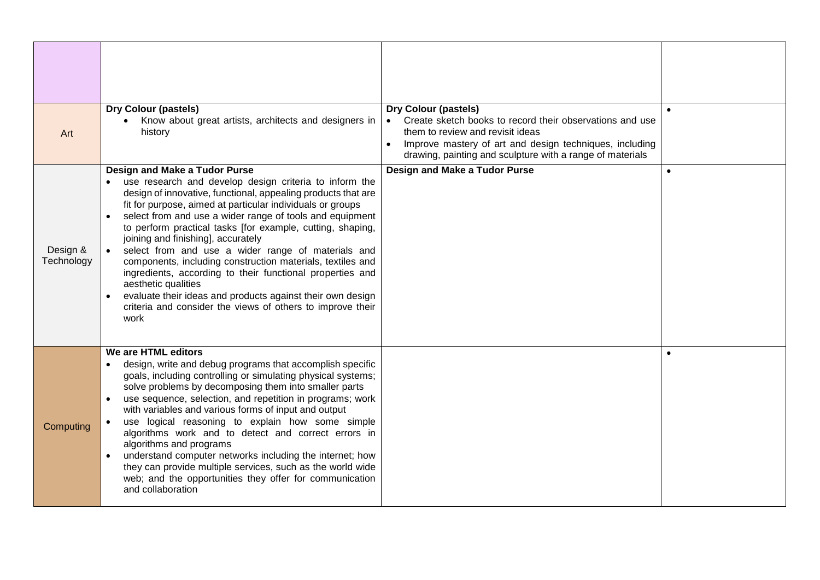|                        | <b>Dry Colour (pastels)</b>                                                                                                                                                                                                                                                                                                                                                                                                                                                                                                                                                                                                                                                                                                        | <b>Dry Colour (pastels)</b>                                                                                                                                                                                                       |           |
|------------------------|------------------------------------------------------------------------------------------------------------------------------------------------------------------------------------------------------------------------------------------------------------------------------------------------------------------------------------------------------------------------------------------------------------------------------------------------------------------------------------------------------------------------------------------------------------------------------------------------------------------------------------------------------------------------------------------------------------------------------------|-----------------------------------------------------------------------------------------------------------------------------------------------------------------------------------------------------------------------------------|-----------|
| Art                    | Know about great artists, architects and designers in<br>history                                                                                                                                                                                                                                                                                                                                                                                                                                                                                                                                                                                                                                                                   | Create sketch books to record their observations and use<br>them to review and revisit ideas<br>Improve mastery of art and design techniques, including<br>$\bullet$<br>drawing, painting and sculpture with a range of materials |           |
| Design &<br>Technology | Design and Make a Tudor Purse<br>use research and develop design criteria to inform the<br>design of innovative, functional, appealing products that are<br>fit for purpose, aimed at particular individuals or groups<br>select from and use a wider range of tools and equipment<br>to perform practical tasks [for example, cutting, shaping,<br>joining and finishing], accurately<br>select from and use a wider range of materials and<br>components, including construction materials, textiles and<br>ingredients, according to their functional properties and<br>aesthetic qualities<br>evaluate their ideas and products against their own design<br>criteria and consider the views of others to improve their<br>work | Design and Make a Tudor Purse                                                                                                                                                                                                     | $\bullet$ |
| Computing              | We are HTML editors<br>design, write and debug programs that accomplish specific<br>goals, including controlling or simulating physical systems;<br>solve problems by decomposing them into smaller parts<br>use sequence, selection, and repetition in programs; work<br>$\bullet$<br>with variables and various forms of input and output<br>use logical reasoning to explain how some simple<br>algorithms work and to detect and correct errors in<br>algorithms and programs<br>understand computer networks including the internet; how<br>they can provide multiple services, such as the world wide<br>web; and the opportunities they offer for communication<br>and collaboration                                        |                                                                                                                                                                                                                                   |           |